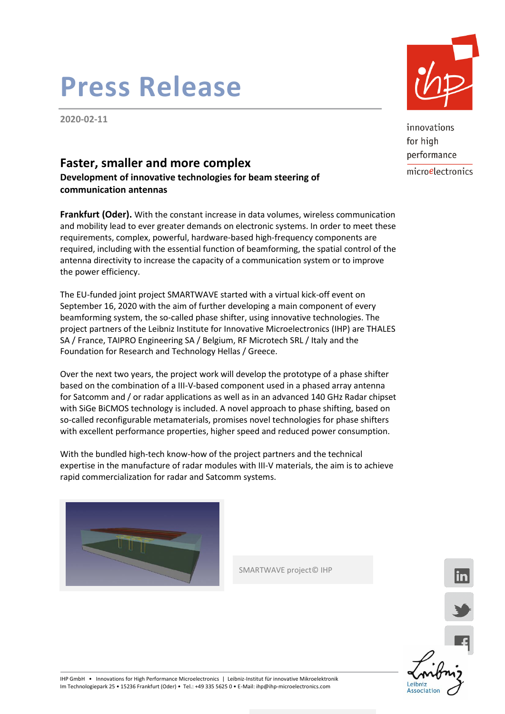## **Press Release**

**2020-02-11**

### **Faster, smaller and more complex**

**Development of innovative technologies for beam steering of communication antennas**

**Frankfurt (Oder).** With the constant increase in data volumes, wireless communication and mobility lead to ever greater demands on electronic systems. In order to meet these requirements, complex, powerful, hardware-based high-frequency components are required, including with the essential function of beamforming, the spatial control of the antenna directivity to increase the capacity of a communication system or to improve the power efficiency.

The EU-funded joint project SMARTWAVE started with a virtual kick-off event on September 16, 2020 with the aim of further developing a main component of every beamforming system, the so-called phase shifter, using innovative technologies. The project partners of the Leibniz Institute for Innovative Microelectronics (IHP) are THALES SA / France, TAIPRO Engineering SA / Belgium, RF Microtech SRL / Italy and the Foundation for Research and Technology Hellas / Greece.

Over the next two years, the project work will develop the prototype of a phase shifter based on the combination of a III-V-based component used in a phased array antenna for Satcomm and / or radar applications as well as in an advanced 140 GHz Radar chipset with SiGe BiCMOS technology is included. A novel approach to phase shifting, based on so-called reconfigurable metamaterials, promises novel technologies for phase shifters with excellent performance properties, higher speed and reduced power consumption.

With the bundled high-tech know-how of the project partners and the technical expertise in the manufacture of radar modules with III-V materials, the aim is to achieve rapid commercialization for radar and Satcomm systems.





innovations for high performance microelectronics